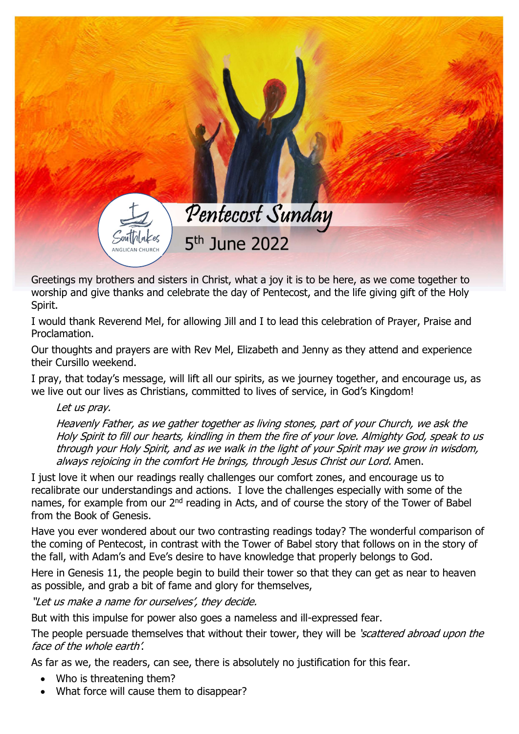## Pentecost Sunday  $5<sup>th</sup>$  June 2022

Greetings my brothers and sisters in Christ, what a joy it is to be here, as we come together to worship and give thanks and celebrate the day of Pentecost, and the life giving gift of the Holy Spirit.

I would thank Reverend Mel, for allowing Jill and I to lead this celebration of Prayer, Praise and Proclamation.

Our thoughts and prayers are with Rev Mel, Elizabeth and Jenny as they attend and experience their Cursillo weekend.

I pray, that today's message, will lift all our spirits, as we journey together, and encourage us, as we live out our lives as Christians, committed to lives of service, in God's Kingdom!

## Let us pray.

Heavenly Father, as we gather together as living stones, part of your Church, we ask the Holy Spirit to fill our hearts, kindling in them the fire of your love. Almighty God, speak to us through your Holy Spirit, and as we walk in the light of your Spirit may we grow in wisdom, always rejoicing in the comfort He brings, through Jesus Christ our Lord. Amen.

I just love it when our readings really challenges our comfort zones, and encourage us to recalibrate our understandings and actions. I love the challenges especially with some of the names, for example from our 2<sup>nd</sup> reading in Acts, and of course the story of the Tower of Babel from the Book of Genesis.

Have you ever wondered about our two contrasting readings today? The wonderful comparison of the coming of Pentecost, in contrast with the Tower of Babel story that follows on in the story of the fall, with Adam's and Eve's desire to have knowledge that properly belongs to God.

Here in Genesis 11, the people begin to build their tower so that they can get as near to heaven as possible, and grab a bit of fame and glory for themselves,

"Let us make a name for ourselves', they decide.

But with this impulse for power also goes a nameless and ill-expressed fear.

The people persuade themselves that without their tower, they will be 'scattered abroad upon the face of the whole earth'.

As far as we, the readers, can see, there is absolutely no justification for this fear.

- Who is threatening them?
- What force will cause them to disappear?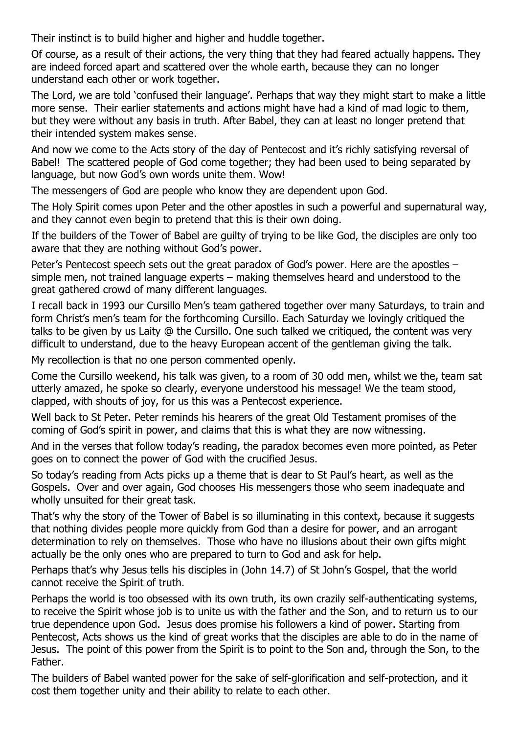Their instinct is to build higher and higher and huddle together.

Of course, as a result of their actions, the very thing that they had feared actually happens. They are indeed forced apart and scattered over the whole earth, because they can no longer understand each other or work together.

The Lord, we are told 'confused their language'. Perhaps that way they might start to make a little more sense. Their earlier statements and actions might have had a kind of mad logic to them, but they were without any basis in truth. After Babel, they can at least no longer pretend that their intended system makes sense.

And now we come to the Acts story of the day of Pentecost and it's richly satisfying reversal of Babel! The scattered people of God come together; they had been used to being separated by language, but now God's own words unite them. Wow!

The messengers of God are people who know they are dependent upon God.

The Holy Spirit comes upon Peter and the other apostles in such a powerful and supernatural way, and they cannot even begin to pretend that this is their own doing.

If the builders of the Tower of Babel are guilty of trying to be like God, the disciples are only too aware that they are nothing without God's power.

Peter's Pentecost speech sets out the great paradox of God's power. Here are the apostles – simple men, not trained language experts – making themselves heard and understood to the great gathered crowd of many different languages.

I recall back in 1993 our Cursillo Men's team gathered together over many Saturdays, to train and form Christ's men's team for the forthcoming Cursillo. Each Saturday we lovingly critiqued the talks to be given by us Laity @ the Cursillo. One such talked we critiqued, the content was very difficult to understand, due to the heavy European accent of the gentleman giving the talk.

My recollection is that no one person commented openly.

Come the Cursillo weekend, his talk was given, to a room of 30 odd men, whilst we the, team sat utterly amazed, he spoke so clearly, everyone understood his message! We the team stood, clapped, with shouts of joy, for us this was a Pentecost experience.

Well back to St Peter. Peter reminds his hearers of the great Old Testament promises of the coming of God's spirit in power, and claims that this is what they are now witnessing.

And in the verses that follow today's reading, the paradox becomes even more pointed, as Peter goes on to connect the power of God with the crucified Jesus.

So today's reading from Acts picks up a theme that is dear to St Paul's heart, as well as the Gospels. Over and over again, God chooses His messengers those who seem inadequate and wholly unsuited for their great task.

That's why the story of the Tower of Babel is so illuminating in this context, because it suggests that nothing divides people more quickly from God than a desire for power, and an arrogant determination to rely on themselves. Those who have no illusions about their own gifts might actually be the only ones who are prepared to turn to God and ask for help.

Perhaps that's why Jesus tells his disciples in (John 14.7) of St John's Gospel, that the world cannot receive the Spirit of truth.

Perhaps the world is too obsessed with its own truth, its own crazily self-authenticating systems, to receive the Spirit whose job is to unite us with the father and the Son, and to return us to our true dependence upon God. Jesus does promise his followers a kind of power. Starting from Pentecost, Acts shows us the kind of great works that the disciples are able to do in the name of Jesus. The point of this power from the Spirit is to point to the Son and, through the Son, to the Father.

The builders of Babel wanted power for the sake of self-glorification and self-protection, and it cost them together unity and their ability to relate to each other.